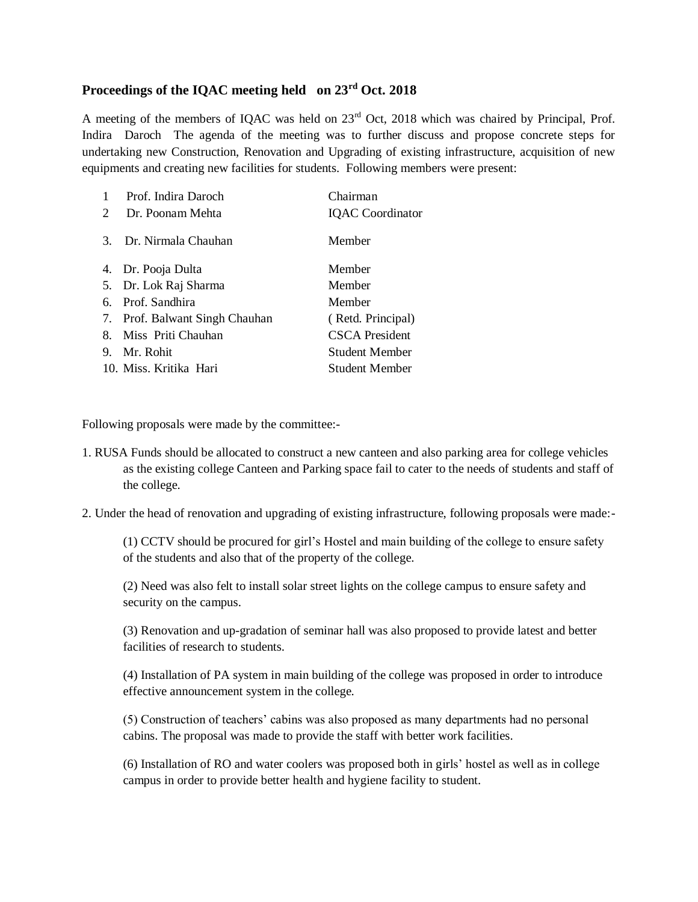## **Proceedings of the IQAC meeting held on 23rd Oct. 2018**

A meeting of the members of IQAC was held on 23<sup>rd</sup> Oct, 2018 which was chaired by Principal, Prof. Indira Daroch The agenda of the meeting was to further discuss and propose concrete steps for undertaking new Construction, Renovation and Upgrading of existing infrastructure, acquisition of new equipments and creating new facilities for students. Following members were present:

| 1                     | Prof. Indira Daroch            | Chairman                |
|-----------------------|--------------------------------|-------------------------|
| $\mathcal{D}_{\cdot}$ | Dr. Poonam Mehta               | <b>IQAC</b> Coordinator |
|                       | 3. Dr. Nirmala Chauhan         | Member                  |
|                       | 4. Dr. Pooja Dulta             | Member                  |
|                       | 5. Dr. Lok Raj Sharma          | Member                  |
| 6.                    | Prof. Sandhira                 | Member                  |
|                       | 7. Prof. Balwant Singh Chauhan | (Retd. Principal)       |
| 8.                    | Miss Priti Chauhan             | <b>CSCA</b> President   |
| 9.                    | Mr. Rohit                      | Student Member          |
|                       | 10. Miss. Kritika Hari         | Student Member          |

Following proposals were made by the committee:-

- 1. RUSA Funds should be allocated to construct a new canteen and also parking area for college vehicles as the existing college Canteen and Parking space fail to cater to the needs of students and staff of the college.
- 2. Under the head of renovation and upgrading of existing infrastructure, following proposals were made:-

(1) CCTV should be procured for girl's Hostel and main building of the college to ensure safety of the students and also that of the property of the college.

(2) Need was also felt to install solar street lights on the college campus to ensure safety and security on the campus.

(3) Renovation and up-gradation of seminar hall was also proposed to provide latest and better facilities of research to students.

(4) Installation of PA system in main building of the college was proposed in order to introduce effective announcement system in the college.

(5) Construction of teachers' cabins was also proposed as many departments had no personal cabins. The proposal was made to provide the staff with better work facilities.

(6) Installation of RO and water coolers was proposed both in girls' hostel as well as in college campus in order to provide better health and hygiene facility to student.